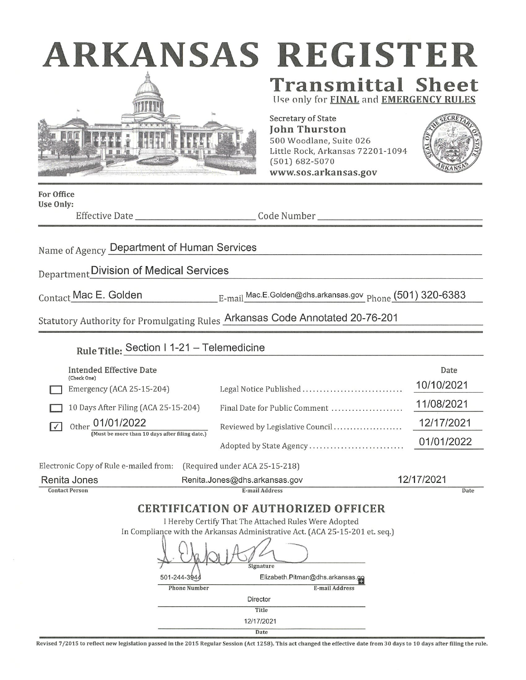|  | ARKANSAS |  |  |  |
|--|----------|--|--|--|
|  |          |  |  |  |



# S REGISTER **Transmittal Sheet**

Use only for FINAL and EMERGENCY RUL

**Secretary of State John Thurston** 500 Woodlane, Suite 026 Little Rock, Arkansas 72201-1094  $(501) 682 - 5070$ www.sos.arkansas.gov



**For Office** Use Only:

Effective Date\_

Name of Agency Department of Human Services

Department Division of Medical Services

Contact Mac E. Golden

 $E$ -mail\_Mac.E.Golden@dhs.arkansas.gov\_p $_{\rm{hone}}$  (501) 320-6383

Statutory Authority for Promulgating Rules Arkansas Code Annotated 20-76-201

| Rule Title: Section   1-21 - Telemedicine                                    |                                  |            |  |  |  |  |  |  |
|------------------------------------------------------------------------------|----------------------------------|------------|--|--|--|--|--|--|
| Intended Effective Date                                                      |                                  | Date       |  |  |  |  |  |  |
| (Check One)<br>Emergency (ACA 25-15-204)                                     | Legal Notice Published           | 10/10/2021 |  |  |  |  |  |  |
| 10 Days After Filing (ACA 25-15-204)                                         | Final Date for Public Comment    | 11/08/2021 |  |  |  |  |  |  |
| Other 01/01/2022                                                             | Reviewed by Legislative Council  | 12/17/2021 |  |  |  |  |  |  |
| (Must be more than 10 days after filing date.)                               | Adopted by State Agency          | 01/01/2022 |  |  |  |  |  |  |
|                                                                              |                                  |            |  |  |  |  |  |  |
| Electronic Copy of Rule e-mailed from:<br>(Required under ACA 25-15-218)     |                                  |            |  |  |  |  |  |  |
| Renita Jones<br>Renita.Jones@dhs.arkansas.gov                                | 12/17/2021                       |            |  |  |  |  |  |  |
| <b>Contact Person</b>                                                        | E-mail Address                   | Date       |  |  |  |  |  |  |
| <b>CERTIFICATION OF AUTHORIZED OFFICER</b>                                   |                                  |            |  |  |  |  |  |  |
| I Hereby Certify That The Attached Rules Were Adopted                        |                                  |            |  |  |  |  |  |  |
| In Compliance with the Arkansas Administrative Act. (ACA 25-15-201 et. seq.) |                                  |            |  |  |  |  |  |  |
| Signature                                                                    |                                  |            |  |  |  |  |  |  |
| 501-244-3944                                                                 | Elizabeth.Pitman@dhs.arkansas.go |            |  |  |  |  |  |  |
| <b>Phone Number</b>                                                          | <b>E-mail Address</b>            |            |  |  |  |  |  |  |
| <b>Director</b>                                                              |                                  |            |  |  |  |  |  |  |
| Title                                                                        |                                  |            |  |  |  |  |  |  |
| 12/17/2021                                                                   |                                  |            |  |  |  |  |  |  |
| Date                                                                         |                                  |            |  |  |  |  |  |  |

Revised 7/2015 to reflect new legislation passed in the 2015 Regular Session (Act 1258). This act changed the effective date from 30 days to 10 days after filing the rule.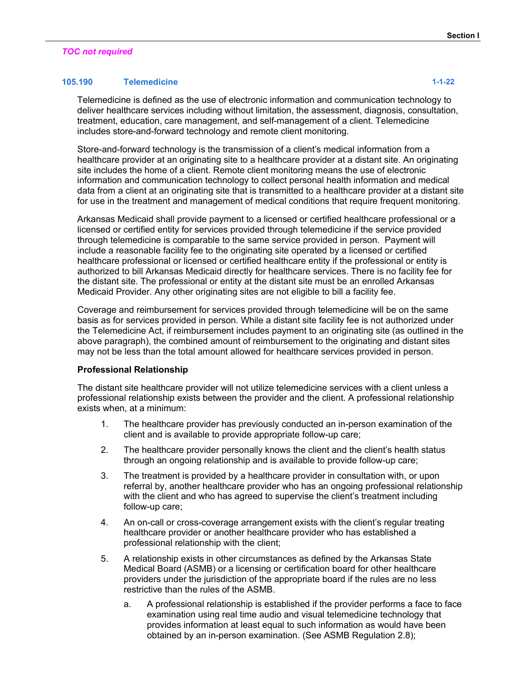# *TOC not required*

# **105.190 Telemedicine 1-1-22**

Telemedicine is defined as the use of electronic information and communication technology to deliver healthcare services including without limitation, the assessment, diagnosis, consultation, treatment, education, care management, and self-management of a client. Telemedicine includes store-and-forward technology and remote client monitoring.

Store-and-forward technology is the transmission of a client's medical information from a healthcare provider at an originating site to a healthcare provider at a distant site. An originating site includes the home of a client. Remote client monitoring means the use of electronic information and communication technology to collect personal health information and medical data from a client at an originating site that is transmitted to a healthcare provider at a distant site for use in the treatment and management of medical conditions that require frequent monitoring.

Arkansas Medicaid shall provide payment to a licensed or certified healthcare professional or a licensed or certified entity for services provided through telemedicine if the service provided through telemedicine is comparable to the same service provided in person. Payment will include a reasonable facility fee to the originating site operated by a licensed or certified healthcare professional or licensed or certified healthcare entity if the professional or entity is authorized to bill Arkansas Medicaid directly for healthcare services. There is no facility fee for the distant site. The professional or entity at the distant site must be an enrolled Arkansas Medicaid Provider. Any other originating sites are not eligible to bill a facility fee.

Coverage and reimbursement for services provided through telemedicine will be on the same basis as for services provided in person. While a distant site facility fee is not authorized under the Telemedicine Act, if reimbursement includes payment to an originating site (as outlined in the above paragraph), the combined amount of reimbursement to the originating and distant sites may not be less than the total amount allowed for healthcare services provided in person.

#### **Professional Relationship**

The distant site healthcare provider will not utilize telemedicine services with a client unless a professional relationship exists between the provider and the client. A professional relationship exists when, at a minimum:

- 1. The healthcare provider has previously conducted an in-person examination of the client and is available to provide appropriate follow-up care;
- 2. The healthcare provider personally knows the client and the client's health status through an ongoing relationship and is available to provide follow-up care;
- 3. The treatment is provided by a healthcare provider in consultation with, or upon referral by, another healthcare provider who has an ongoing professional relationship with the client and who has agreed to supervise the client's treatment including follow-up care;
- 4. An on-call or cross-coverage arrangement exists with the client's regular treating healthcare provider or another healthcare provider who has established a professional relationship with the client;
- 5. A relationship exists in other circumstances as defined by the Arkansas State Medical Board (ASMB) or a licensing or certification board for other healthcare providers under the jurisdiction of the appropriate board if the rules are no less restrictive than the rules of the ASMB.
	- a. A professional relationship is established if the provider performs a face to face examination using real time audio and visual telemedicine technology that provides information at least equal to such information as would have been obtained by an in-person examination. (See ASMB Regulation 2.8);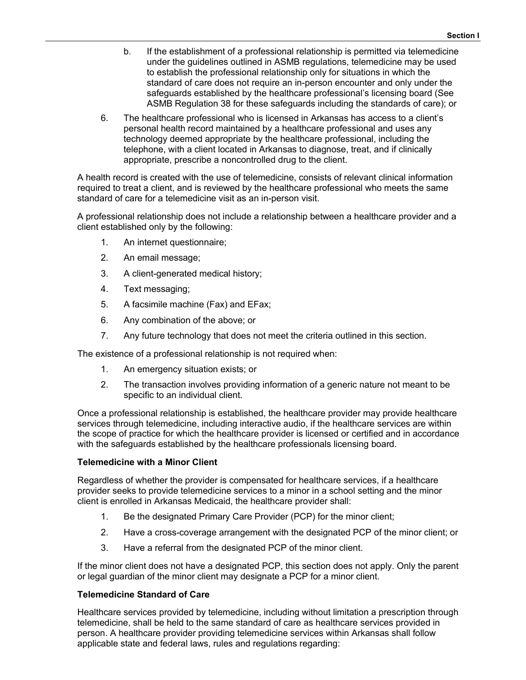- b. If the establishment of a professional relationship is permitted via telemedicine under the guidelines outlined in ASMB regulations, telemedicine may be used to establish the professional relationship only for situations in which the standard of care does not require an in-person encounter and only under the safeguards established by the healthcare professional's licensing board (See ASMB Regulation 38 for these safeguards including the standards of care); or
- 6. The healthcare professional who is licensed in Arkansas has access to a client's personal health record maintained by a healthcare professional and uses any technology deemed appropriate by the healthcare professional, including the telephone, with a client located in Arkansas to diagnose, treat, and if clinically appropriate, prescribe a noncontrolled drug to the client.

A health record is created with the use of telemedicine, consists of relevant clinical information required to treat a client, and is reviewed by the healthcare professional who meets the same standard of care for a telemedicine visit as an in-person visit.

A professional relationship does not include a relationship between a healthcare provider and a client established only by the following:

- 1. An internet questionnaire;
- 2. An email message;
- 3. A client-generated medical history;
- 4. Text messaging;
- 5. A facsimile machine (Fax) and EFax;
- 6. Any combination of the above; or
- 7. Any future technology that does not meet the criteria outlined in this section.

The existence of a professional relationship is not required when:

- 1. An emergency situation exists; or
- 2. The transaction involves providing information of a generic nature not meant to be specific to an individual client.

Once a professional relationship is established, the healthcare provider may provide healthcare services through telemedicine, including interactive audio, if the healthcare services are within the scope of practice for which the healthcare provider is licensed or certified and in accordance with the safeguards established by the healthcare professionals licensing board.

#### **Telemedicine with a Minor Client**

Regardless of whether the provider is compensated for healthcare services, if a healthcare provider seeks to provide telemedicine services to a minor in a school setting and the minor client is enrolled in Arkansas Medicaid, the healthcare provider shall:

- 1. Be the designated Primary Care Provider (PCP) for the minor client;
- 2. Have a cross-coverage arrangement with the designated PCP of the minor client; or
- 3. Have a referral from the designated PCP of the minor client.

If the minor client does not have a designated PCP, this section does not apply. Only the parent or legal guardian of the minor client may designate a PCP for a minor client.

# **Telemedicine Standard of Care**

Healthcare services provided by telemedicine, including without limitation a prescription through telemedicine, shall be held to the same standard of care as healthcare services provided in person. A healthcare provider providing telemedicine services within Arkansas shall follow applicable state and federal laws, rules and regulations regarding: